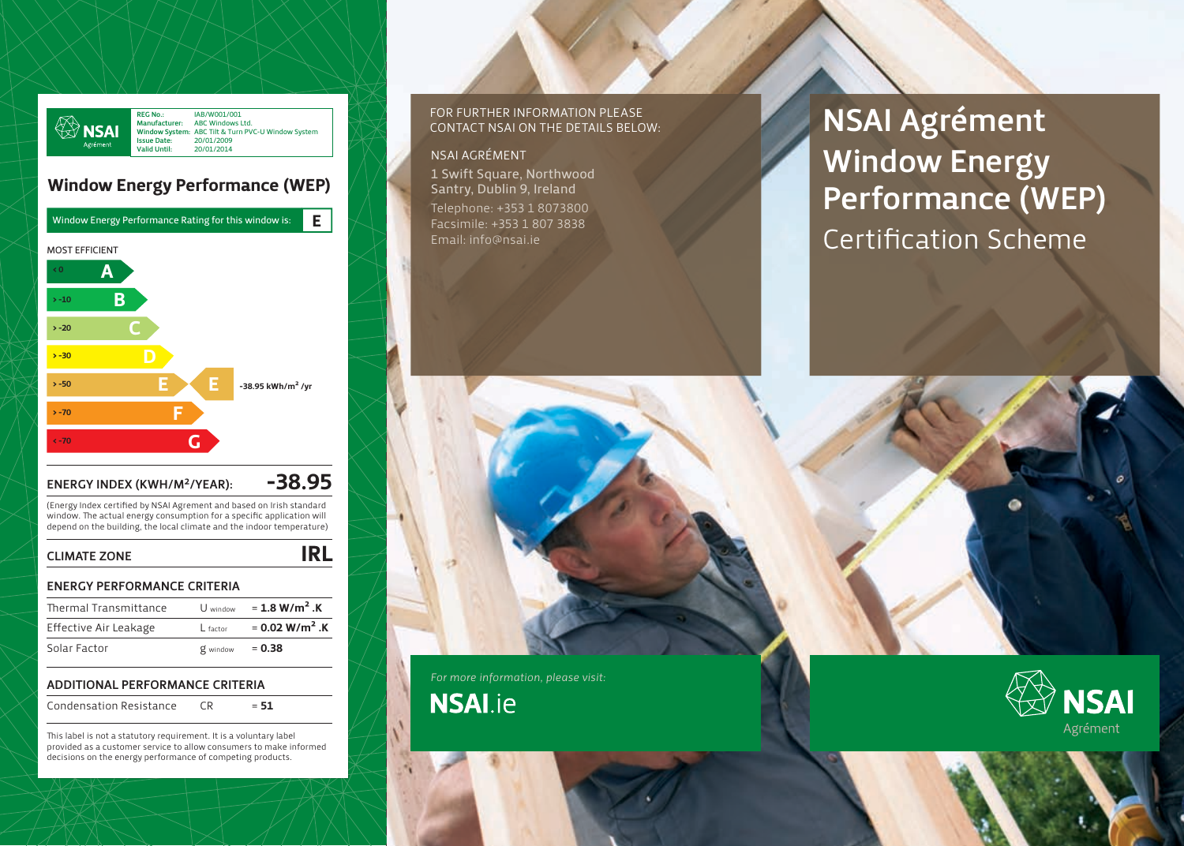

# Window Energy Performance (WEP)



# ENERGY INDEX (KWH/M<sup>2</sup>/YEAR):  $-38.95$

(Energy Index certified by NSAI Agrement and based on Irish standard window. The actual energy consumption for a specific application will depend on the building, the local climate and the indoor temperature)

## CLIMATE ZONE **IRL**

### ENERGY PERFORMANCE CRITERIA

| Thermal Transmittance | U window | = 1.8 W/m <sup>2</sup> .K    |
|-----------------------|----------|------------------------------|
| Effective Air Leakage | L factor | $= 0.02$ W/m <sup>2</sup> .K |
| Solar Factor          | g window | $= 0.38$                     |

## ADDITIONAL PERFORMANCE CRITERIA

Condensation Resistance  $CR = 51$ 

This label is not a statutory requirement. It is a voluntary label provided as a customer service to allow consumers to make informed decisions on the energy performance of competing products.

### For further information please contact NSAI on the details below:

### NSAI Agrément

1 Swift Square, Northwood Santry, Dublin 9, Ireland Telephone: +353 1 8073800 Facsimile: +353 1 807 3838 Email: info@nsai.ie

NSAI Agrément Window Energy Performance (WEP) Certification Scheme

## *For more information, please visit:*

**NSAI.ie**